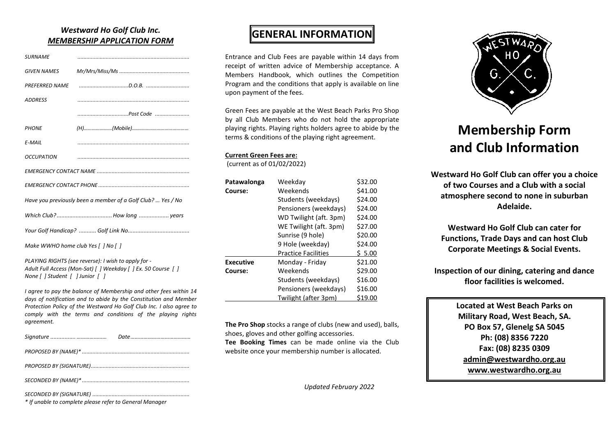### *Westward Ho Golf Club Inc. MEMBERSHIP APPLICATION FORM*

| <b>SURNAME</b>                                              |  |  |
|-------------------------------------------------------------|--|--|
| <b>GIVEN NAMES</b>                                          |  |  |
| <b>PREFERRED NAME</b>                                       |  |  |
| <b>ADDRESS</b>                                              |  |  |
|                                                             |  |  |
| <b>PHONE</b>                                                |  |  |
| E-MAIL                                                      |  |  |
| OCCUPATION                                                  |  |  |
|                                                             |  |  |
|                                                             |  |  |
| Have you previously been a member of a Golf Club?  Yes / No |  |  |
|                                                             |  |  |
|                                                             |  |  |
| Make WWHO home club Yes [ ] No [ ]                          |  |  |
| PLAYING RIGHTS (see reverse): I wish to apply for -         |  |  |

*PLAYING RIGHTS (see reverse): I wish to apply for - Adult Full Access (Mon-Sat) [ ] Weekday [ ] Ex. 50 Course [ ] None [ ] Student [ ] Junior [ ]*

*I agree to pay the balance of Membership and other fees within 14 days of notification and to abide by the Constitution and Member Protection Policy of the Westward Ho Golf Club Inc. I also agree to comply with the terms and conditions of the playing rights agreement.*

| * If unable to complete please refer to General Manager |  |
|---------------------------------------------------------|--|

### **GENERAL INFORMATION**

Entrance and Club Fees are payable within 14 days from receipt of written advice of Membership acceptance. A Members Handbook, which outlines the Competition Program and the conditions that apply is available on line upon payment of the fees.

Green Fees are payable at the West Beach Parks Pro Shop by all Club Members who do not hold the appropriate playing rights. Playing rights holders agree to abide by the terms & conditions of the playing right agreement.

#### **Current Green Fees are:**

(current as of 01/02/2022)

| Patawalonga      | Weekdav                    | \$32.00 |
|------------------|----------------------------|---------|
| Course:          | Weekends                   | \$41.00 |
|                  | Students (weekdays)        | \$24.00 |
|                  | Pensioners (weekdays)      | \$24.00 |
|                  | WD Twilight (aft. 3pm)     | \$24.00 |
|                  | WE Twilight (aft. 3pm)     | \$27.00 |
|                  | Sunrise (9 hole)           | \$20.00 |
|                  | 9 Hole (weekday)           | \$24.00 |
|                  | <b>Practice Facilities</b> | \$5.00  |
| <b>Executive</b> | Monday - Friday            | \$21.00 |
| Course:          | Weekends                   | \$29.00 |
|                  | Students (weekdays)        | \$16.00 |
|                  | Pensioners (weekdays)      | \$16.00 |
|                  | Twilight (after 3pm)       | \$19.00 |

**The Pro Shop** stocks a range of clubs (new and used), balls, shoes, gloves and other golfing accessories.

**Tee Booking Times** can be made online via the Club website once your membership number is allocated.

*Updated February 2022*



# **Membership Form and Club Information**

**Westward Ho Golf Club can offer you a choice of two Courses and a Club with a social atmosphere second to none in suburban Adelaide.** 

**Westward Ho Golf Club can cater for Functions, Trade Days and can host Club Corporate Meetings & Social Events.**

**Inspection of our dining, catering and dance floor facilities is welcomed.**

> **Located at West Beach Parks on Military Road, West Beach, SA. PO Box 57, Glenelg SA 5045 Ph: (08) 8356 7220 Fax: (08) 8235 0309 [admin@westwardho.org.au](mailto:golf@westwardho.org.au) [www.westwardho.org.au](http://www.westwardho.org.au/)**